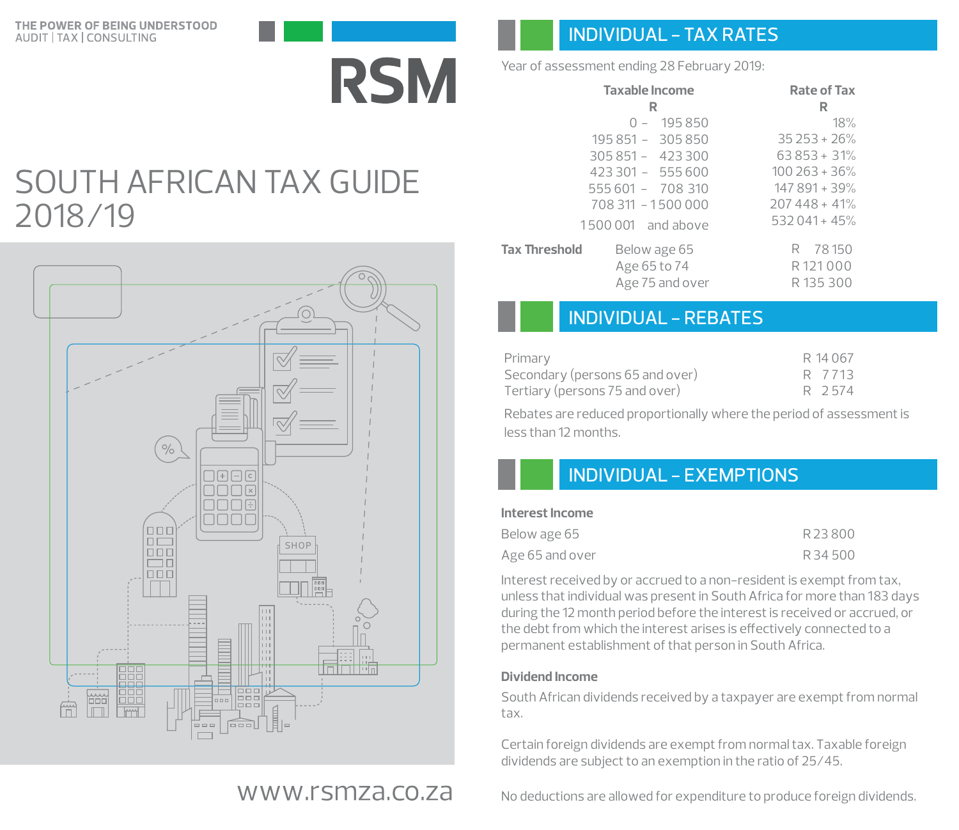

## INDIVIDUAL - TAX RATES

Year of assessment ending 28 February 2019:

| <b>Taxable Income</b>                | <b>Rate of Tax</b> |
|--------------------------------------|--------------------|
| R                                    | R                  |
| $0 - 195850$                         | 18%                |
| 195 851 - 305 850                    | $35253 + 26%$      |
| $305851 - 423300$                    | $63853 + 31%$      |
| $423301 - 555600$                    | $100\,263 + 36\%$  |
| 555 601 - 708 310                    | 147 891 + 39%      |
| 708 311 - 1500 000                   | $207448 + 41%$     |
| 1500 001 and above                   | $532041 + 45%$     |
| <b>Tax Threshold</b><br>Below age 65 | R 78150            |
| Age 65 to 74                         | R121000            |
| Age 75 and over                      | R135300            |

## INDIVIDUAL - REBATES

| Primary                         | R 14 067 |
|---------------------------------|----------|
| Secondary (persons 65 and over) | R 7713   |
| Tertiary (persons 75 and over)  | R 2574   |

Rebates are reduced proportionally where the period of assessment is less than 12 months.

## INDIVIDUAL - EXEMPTIONS

#### **Interest Income**

| Below age 65    | R23800 |
|-----------------|--------|
| Age 65 and over | R34500 |

Interest received by or accrued to a non-resident is exempt from tax, unless that individual was present in South Africa for more than 183 days during the 12 month period before the interest is received or accrued, or the debt from which the interest arises is effectively connected to a permanent establishment of that person in South Africa.

### **Dividend Income**

South African dividends received by a taxpayer are exempt from normal tax.

Certain foreign dividends are exempt from normal tax. Taxable foreign dividends are subject to an exemption in the ratio of 25/45.

No deductions are allowed for expenditure to produce foreign dividends.

# SOUTH AFRICAN TAX GUIDE 2018/19



## www.rsmza.co.za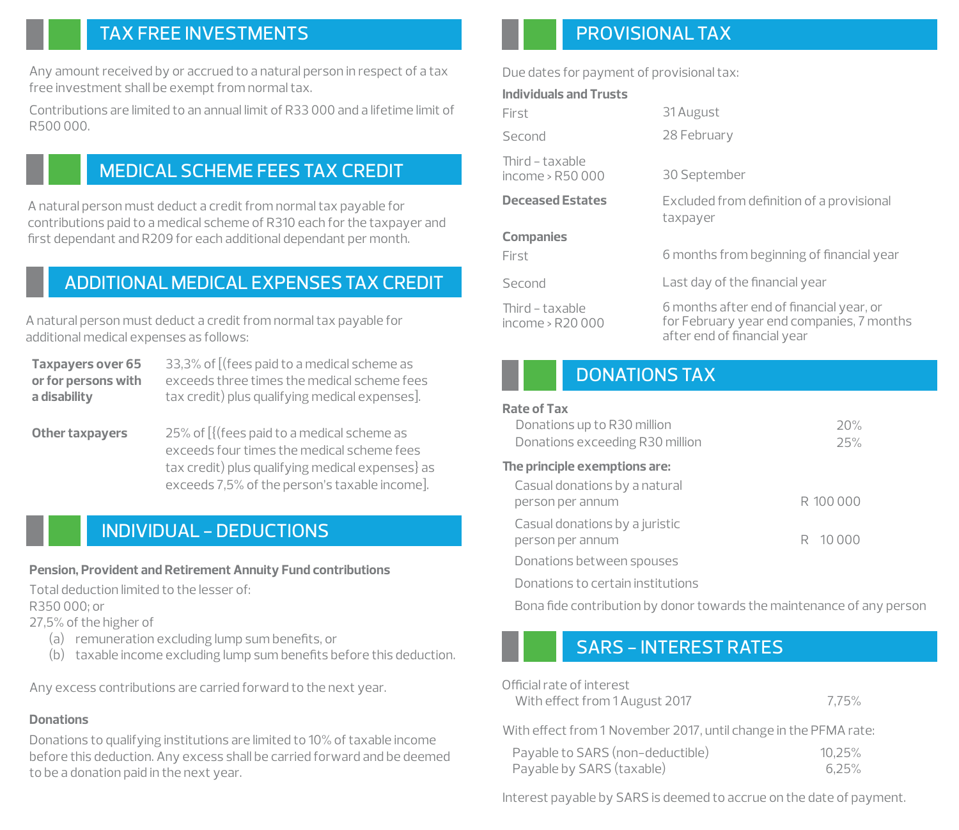## TAX FREE INVESTMENTS

Any amount received by or accrued to a natural person in respect of a tax free investment shall be exempt from normal tax.

Contributions are limited to an annual limit of R33 000 and a lifetime limit of R500 000.

## MEDICAL SCHEME FEES TAX CREDIT

A natural person must deduct a credit from normal tax payable for contributions paid to a medical scheme of R310 each for the taxpayer and first dependant and R209 for each additional dependant per month.

## ADDITIONALMEDICAL EXPENSESTAX CREDIT

A natural person must deduct a credit from normal tax payable for additional medical expenses as follows:

| <b>Taxpayers over 65</b> | 33,3% of [(fees paid to a medical scheme as    |
|--------------------------|------------------------------------------------|
| or for persons with      | exceeds three times the medical scheme fees    |
| a disability             | tax credit) plus qualifying medical expenses]. |

**Other taxpayers**  25% of [{(fees paid to a medical scheme as exceeds four times the medical scheme fees tax credit) plus qualifying medical expenses} as exceeds 7,5% of the person's taxable income].

## INDIVIDUAL - DEDUCTIONS

### **Pension, Provident and Retirement Annuity Fund contributions**

Total deduction limited to the lesser of:

R350 000; or

27,5% of the higher of

- (a) remuneration excluding lump sum benefits, or
- (b) taxable income excluding lump sum benefits before this deduction.

Any excess contributions are carried forward to the next year.

### **Donations**

Donations to qualifying institutions are limited to 10% of taxable income before this deduction. Any excess shall be carried forward and be deemed to be a donation paid in the next year.

## PROVISIONALTAX

Due dates for payment of provisional tax:

#### **Individuals and Trusts**

| First                               | 31 August                                                                                                            |
|-------------------------------------|----------------------------------------------------------------------------------------------------------------------|
| Second                              | 28 February                                                                                                          |
| Third – taxable<br>income > R50 000 | 30 September                                                                                                         |
| <b>Deceased Estates</b>             | Excluded from definition of a provisional<br>taxpayer                                                                |
| <b>Companies</b><br>First           | 6 months from beginning of financial year                                                                            |
| Second                              | Last day of the financial year                                                                                       |
| Third - taxable<br>income > R20 000 | 6 months after end of financial year, or<br>for February year end companies, 7 months<br>after end of financial year |

## DONATIONS TAX

#### **Rate of Tax**

| Donations up to R30 million<br>Donations exceeding R30 million | 20%<br>25% |
|----------------------------------------------------------------|------------|
| The principle exemptions are:                                  |            |
| Casual donations by a natural<br>person per annum              | R 100 000  |
| Casual donations by a juristic<br>person per annum             | R 10000    |
| Donations between spouses                                      |            |
| Donations to certain institutions                              |            |

Bona fide contribution by donor towards the maintenance of any person

## SARS - INTEREST RATES

| Official rate of interest      |  |
|--------------------------------|--|
| With effect from 1 August 2017 |  |

7,75%

With effect from 1 November 2017, until change in the PFMA rate:

| Payable to SARS (non-deductible) | 10.25% |
|----------------------------------|--------|
| Payable by SARS (taxable)        | 6.25%  |

Interest payable by SARS is deemed to accrue on the date of payment.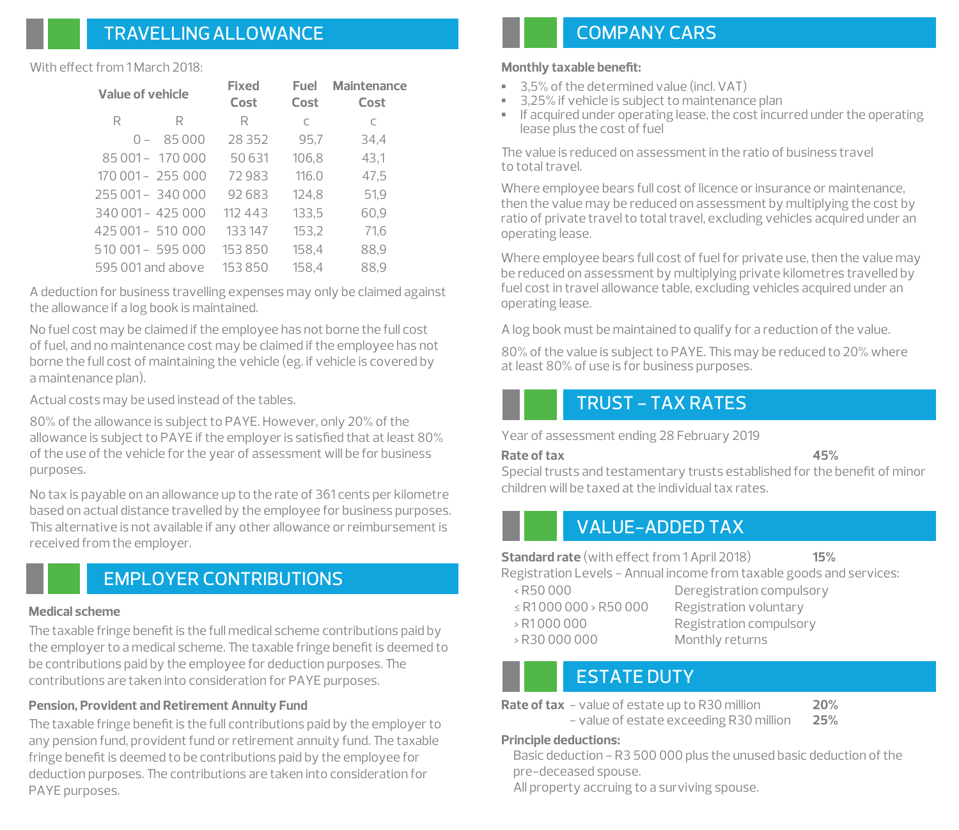## TRAVELLINGALLOWANCE

#### With effect from 1 March 2018:

| Value of vehicle  |                   | Fixed<br>Cost | Fuel<br>Cost | <b>Maintenance</b><br>Cost |
|-------------------|-------------------|---------------|--------------|----------------------------|
| R                 | R                 | R             | C            | C                          |
| $\bigcap$ $-$     | 85000             | 28 3 5 2      | 95,7         | 34,4                       |
|                   | 85 001 - 170 000  | 50631         | 106,8        | 43,1                       |
|                   | 170 001 - 255 000 | 72983         | 116.0        | 47,5                       |
| 255 001 - 340 000 |                   | 92683         | 124,8        | 51,9                       |
| 340 001 - 425 000 |                   | 11243         | 133,5        | 60,9                       |
| 425 001 - 510 000 |                   | 133147        | 153,2        | 71,6                       |
| 510 001 - 595 000 |                   | 153850        | 158,4        | 88,9                       |
| 595,001 and above |                   | 153850        | 158.4        | 88.9                       |

A deduction for business travelling expenses may only be claimed against the allowance if a log book is maintained.

No fuel cost may be claimed if the employee has not borne the full cost of fuel, and no maintenance cost may be claimed if the employee has not borne the full cost of maintaining the vehicle (eg. if vehicle is covered by a maintenance plan).

Actual costs may be used instead of the tables.

80% of the allowance is subject to PAYE. However, only 20% of the allowance is subject to PAYE if the employer is satisfied that at least 80% of the use of the vehicle for the year of assessment will be for business purposes.

No tax is payable on an allowance up to the rate of 361 cents per kilometre based on actual distance travelled by the employee for business purposes. This alternative is not available if any other allowance or reimbursement is received from the employer.

## EMPLOYER CONTRIBUTIONS

#### **Medical scheme**

The taxable fringe benefit is the full medical scheme contributions paid by the employer to a medical scheme. The taxable fringe benefit is deemed to be contributions paid by the employee for deduction purposes. The contributions are taken into consideration for PAYE purposes.

### **Pension, Provident and Retirement Annuity Fund**

The taxable fringe benefit is the full contributions paid by the employer to any pension fund, provident fund or retirement annuity fund. The taxable fringe benefit is deemed to be contributions paid by the employee for deduction purposes. The contributions are taken into consideration for PAYE purposes.

## COMPANY CARS

#### **Monthly taxable benefit:**

- **▪** 3,5% of the determined value (incl. VAT)
- **▪** 3,25% if vehicle is subject to maintenance plan
- **▪** If acquired under operating lease, the cost incurred under the operating lease plus the cost of fuel

e value is reduced on assessment in the ratio of business travel to total travel.

Where employee bears full cost of licence or insurance or maintenance, then the value may be reduced on assessment by multiplying the cost by ratio of private travel to total travel, excluding vehicles acquired under an operating lease.

Where employee bears full cost of fuel for private use, then the value may be reduced on assessment by multiplying private kilometres travelled by fuel cost in travel allowance table, excluding vehicles acquired under an operating lease.

A log book must be maintained to qualify for a reduction of the value.

80% of the value is subject to PAYE. This may be reduced to 20% where at least 80% of use is for business purposes.

### TRUST - TAX RATES

Year of assessment ending 28 February 2019

#### **Rate of tax 45%**

Special trusts and testamentary trusts established for the benefit of minor children will be taxed at the individual tax rates.

## VALUE-ADDED TAX

**15% Standard rate** (with effect from 1 April 2018)

Registration Levels - Annual income from taxable goods and services:

- ≤ R1 000 000 > R50 000 Registration voluntary > R30 000 000 Monthly returns
- < R50 000 Deregistration compulsory > R1 000 000 Registration compulsory

## ESTATE DUTY

**Rate of tax** - value of estate up to R30 million 20%

- value of estate exceeding R30 million **25%**

#### **Principle deductions:**

Basic deduction - R3 500 000 plus the unused basic deduction of the pre-deceased spouse.

All property accruing to a surviving spouse.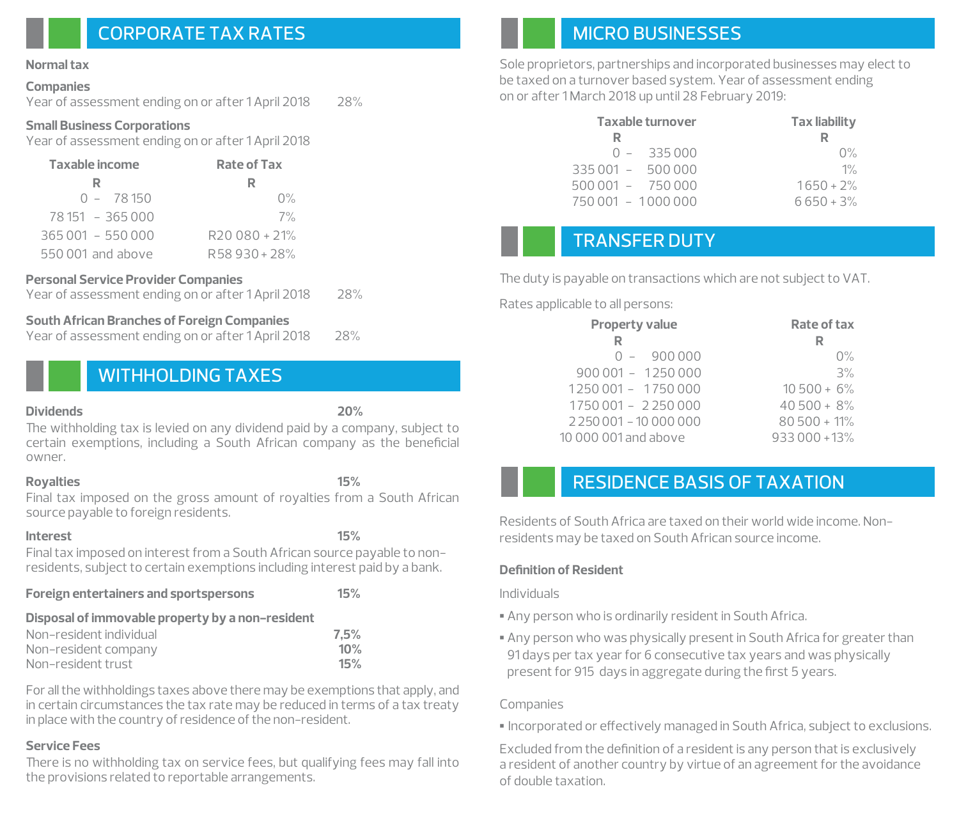## CORPORATE TAX RATES

#### **Normal tax**

#### **Companies**

Year of assessment ending on or after 1 April 2018 28%

#### **Small Business Corporations**

Year of assessment ending on or after 1 April 2018

| Taxable income    | <b>Rate of Tax</b> |  |
|-------------------|--------------------|--|
| R                 |                    |  |
| $0 - 78150$       | $0\%$              |  |
| 78 151 - 365 000  | 7%                 |  |
| 365 001 - 550 000 | R20 080 + 21%      |  |
| 550,001 and above | R58930+28%         |  |

**Personal Service Provider Companies** Year of assessment ending on or after 1 April 2018

#### **South African Branches of Foreign Companies**

Year of assessment ending on or after 1 April 2018 28%

## WITHHOLDING TAXES

#### **Dividends 20%**

The withholding tax is levied on any dividend paid by a company, subject to certain exemptions, including a South African company as the beneficial owner.

### **Royalties 15%**

Final tax imposed on the gross amount of royalties from a South African source payable to foreign residents.

#### **Interest 15%**

Final tax imposed on interest from a South African source payable to nonresidents, subject to certain exemptions including interest paid by a bank.

|  |  | <b>Foreign entertainers and sportspersons</b> | 15% |
|--|--|-----------------------------------------------|-----|
|--|--|-----------------------------------------------|-----|

### **Disposal of immovable property by a non-resident**

| Non–resident individual | 7.5% |
|-------------------------|------|
| Non-resident company    | 10%  |
| Non-resident trust      | 15%  |

For all the withholdings taxes above there may be exemptions that apply, and in certain circumstances the tax rate may be reduced in terms of a tax treaty in place with the country of residence of the non-resident.

### **Service Fees**

There is no withholding tax on service fees, but qualifying fees may fall into the provisions related to reportable arrangements.

## MICRO BUSINESSES

Sole proprietors, partnerships and incorporated businesses may elect to be taxed on a turnover based system. Year of assessment ending on or after 1 March 2018 up until 28 February 2019:

| <b>Taxable turnover</b> | <b>Tax liability</b> |
|-------------------------|----------------------|
| R                       |                      |
| $0 - 335000$            | $\Omega\%$           |
| $335001 - 500000$       | $1\%$                |
| $500001 - 750000$       | $1650 + 2%$          |
| 750 001 - 1000 000      | $6650 + 3%$          |

## TRANSFER DUTY

The duty is payable on transactions which are not subject to VAT.

Rates applicable to all persons:

 $\overline{a}$ 

| <b>Property value</b>           | Rate of tax    |
|---------------------------------|----------------|
|                                 | R              |
| $0 - 900000$                    | $0\%$          |
| $900001 - 1250000$              | 3%             |
| 1250 001 - 1750 000             | $10500 + 6%$   |
| 1750 001 - 2250 000             | $40500 + 8%$   |
| 2 2 50 0 0 1 - 10 0 0 0 0 0 0 0 | $80500 + 11%$  |
| 10 000 001 and above            | $933000 + 13%$ |

## RESIDENCE BASIS OF TAXATION

Residents of South Africa are taxed on their world wide income. Nonresidents may be taxed on South African source income.

### **Definition of Resident**

Individuals

- **▪** Any person who is ordinarily resident in South Africa.
- **▪** Any person who was physically present in South Africa for greater than 91 days per tax year for 6 consecutive tax years and was physically present for 915 days in aggregate during the first 5 years.

### Companies

**▪** Incorporated or effectively managed in South Africa, subject to exclusions.

a resident of another country by virtue of an agreement for the avoidance of double taxation. Excluded from the definition of a resident is any person that is exclusively